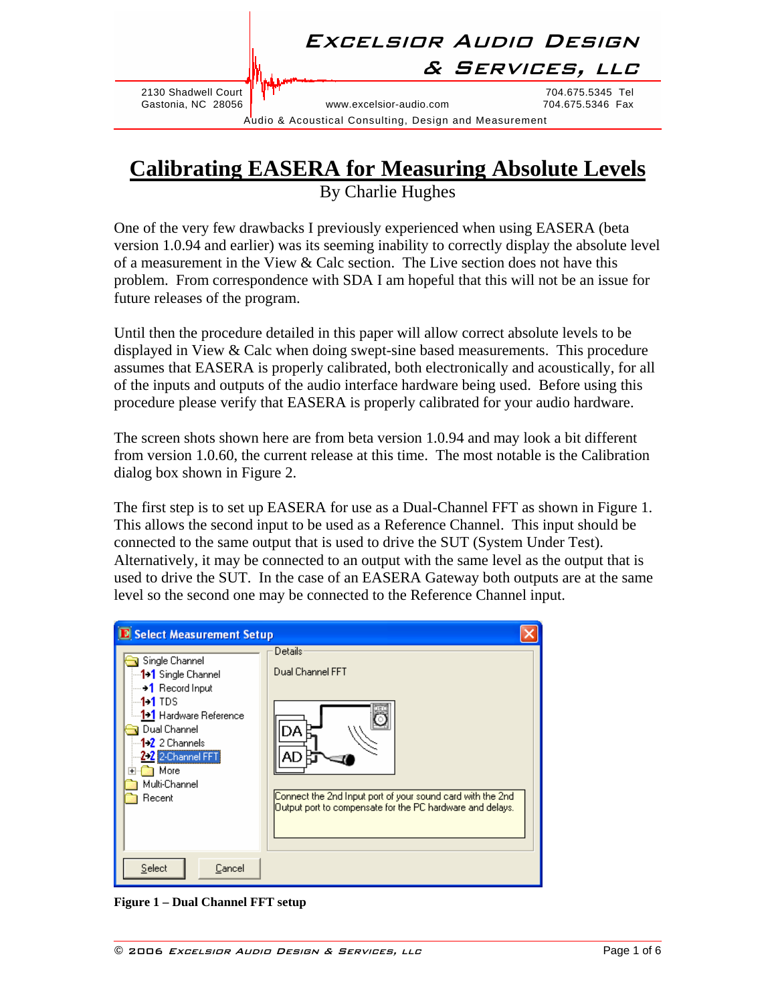### Excelsior Audio Design

2130 Shadwell Court  $\sqrt[3]{\text{T}T}$ <br>Castonia, NC 28056 Tel www.excelsior-audio.com 704.675.5346 Fax

www.excelsior-audio.com

& Services, llc

Audio & Acoustical Consulting, Design and Measurement

#### **Calibrating EASERA for Measuring Absolute Levels** By Charlie Hughes

One of the very few drawbacks I previously experienced when using EASERA (beta version 1.0.94 and earlier) was its seeming inability to correctly display the absolute level of a measurement in the View  $&$  Calc section. The Live section does not have this problem. From correspondence with SDA I am hopeful that this will not be an issue for future releases of the program.

Until then the procedure detailed in this paper will allow correct absolute levels to be displayed in View & Calc when doing swept-sine based measurements. This procedure assumes that EASERA is properly calibrated, both electronically and acoustically, for all of the inputs and outputs of the audio interface hardware being used. Before using this procedure please verify that EASERA is properly calibrated for your audio hardware.

The screen shots shown here are from beta version 1.0.94 and may look a bit different from version 1.0.60, the current release at this time. The most notable is the Calibration dialog box shown in [Figure 2](#page-1-0).

The first step is to set up EASERA for use as a Dual-Channel FFT as shown in [Figure 1.](#page-0-0) This allows the second input to be used as a Reference Channel. This input should be connected to the same output that is used to drive the SUT (System Under Test). Alternatively, it may be connected to an output with the same level as the output that is used to drive the SUT. In the case of an EASERA Gateway both outputs are at the same level so the second one may be connected to the Reference Channel input.

| <b>D</b> Select Measurement Setup                                                                                                                                                                                                                |                                                                                                                                                                             |
|--------------------------------------------------------------------------------------------------------------------------------------------------------------------------------------------------------------------------------------------------|-----------------------------------------------------------------------------------------------------------------------------------------------------------------------------|
| Single Channel<br>⊶ <mark>1→1</mark> Single Channel<br>$\rightarrow$ Record Input<br>1•1 TDS<br><sup>i…</sup> 1 <mark>→1</mark> Hardware Reference<br>Dual Channel<br>$1.2$ 2 Channels<br>2-2 2-Channel FFT<br>) More<br>Multi-Channel<br>Recent | <b>Details</b><br>Dual Channel FFT<br>DA<br>AD<br>[Connect the 2nd Input port of your sound card with the 2nd]<br>Output port to compensate for the PC hardware and delays. |
| Select<br>Cancel                                                                                                                                                                                                                                 |                                                                                                                                                                             |

<span id="page-0-0"></span>**Figure 1 – Dual Channel FFT setup**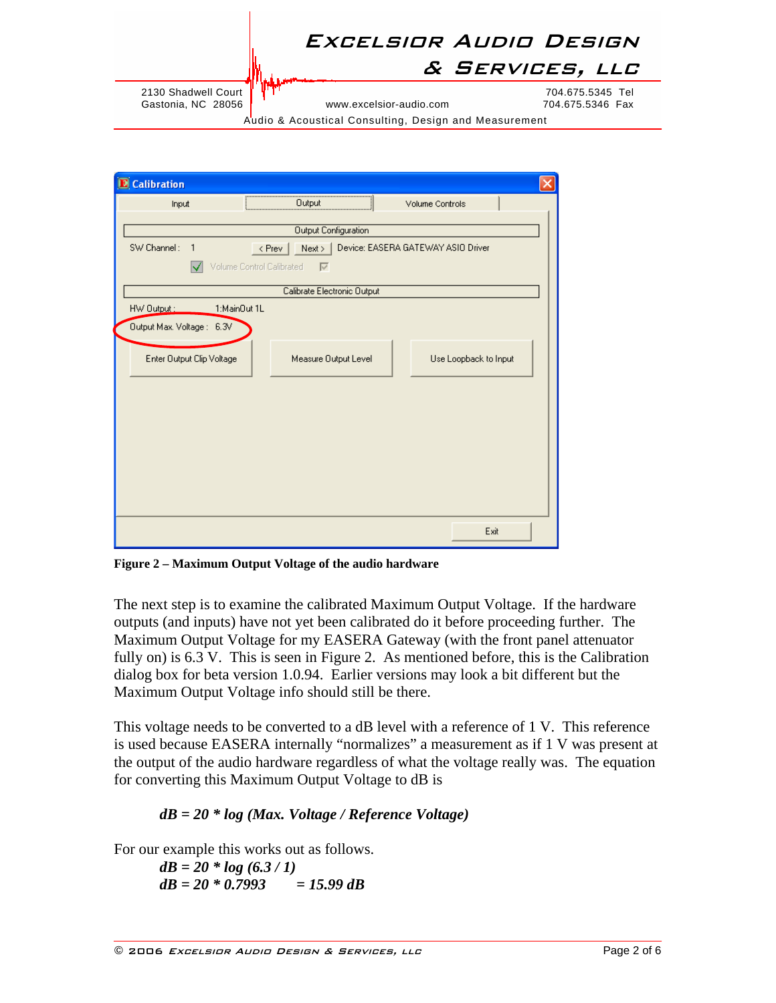# Excelsior Audio Design

& Services, llc

2130 Shadwell Court  $\begin{cases} \begin{matrix} \text{I} \\ \text{I} \end{matrix} & \begin{matrix} \text{I} \\ \text{I} \end{matrix} \end{cases}$   $\begin{matrix} \text{I} \\ \text{I} \end{matrix}$  www.excelsior-audio.com  $\begin{matrix} \text{I} \\ \text{I} \end{matrix}$   $\begin{matrix} \text{I} \\ \text{I} \end{matrix}$   $\begin{matrix} \text{I} \\ \text{I} \end{matrix}$   $\begin{matrix} \text{I} \\ \text{I} \end{matrix}$   $\$ 

www.excelsior-audio.com

Audio & Acoustical Consulting, Design and Measurement

| <b>D</b> Calibration        |                           |                             |                                    |  |
|-----------------------------|---------------------------|-----------------------------|------------------------------------|--|
| Input                       |                           | Output                      | Volume Controls                    |  |
|                             |                           | <b>Output Configuration</b> |                                    |  |
| SW Channel:<br>$\mathbf{1}$ |                           | $\langle$ Prev  <br>Next    | Device: EASERA GATEWAY ASIO Driver |  |
|                             | Volume Control Calibrated | $\overline{\vee}$           |                                    |  |
|                             |                           | Calibrate Electronic Output |                                    |  |
| HW Output:                  | 1:MainOut 1L              |                             |                                    |  |
| Output Max. Voltage: 6.3V   |                           |                             |                                    |  |
| Enter Output Clip Voltage   |                           | Measure Output Level        | Use Loopback to Input              |  |
|                             |                           |                             |                                    |  |
|                             |                           |                             |                                    |  |
|                             |                           |                             |                                    |  |
|                             |                           |                             |                                    |  |
|                             |                           |                             |                                    |  |
|                             |                           |                             |                                    |  |
|                             |                           |                             | Exit                               |  |

<span id="page-1-0"></span>**Figure 2 – Maximum Output Voltage of the audio hardware** 

The next step is to examine the calibrated Maximum Output Voltage. If the hardware outputs (and inputs) have not yet been calibrated do it before proceeding further. The Maximum Output Voltage for my EASERA Gateway (with the front panel attenuator fully on) is 6.3 V. This is seen in [Figure 2.](#page-1-0) As mentioned before, this is the Calibration dialog box for beta version 1.0.94. Earlier versions may look a bit different but the Maximum Output Voltage info should still be there.

This voltage needs to be converted to a dB level with a reference of 1 V. This reference is used because EASERA internally "normalizes" a measurement as if 1 V was present at the output of the audio hardware regardless of what the voltage really was. The equation for converting this Maximum Output Voltage to dB is

#### *dB = 20 \* log (Max. Voltage / Reference Voltage)*

For our example this works out as follows.

*dB = 20 \* log (6.3 / 1) dB = 20 \* 0.7993 = 15.99 dB*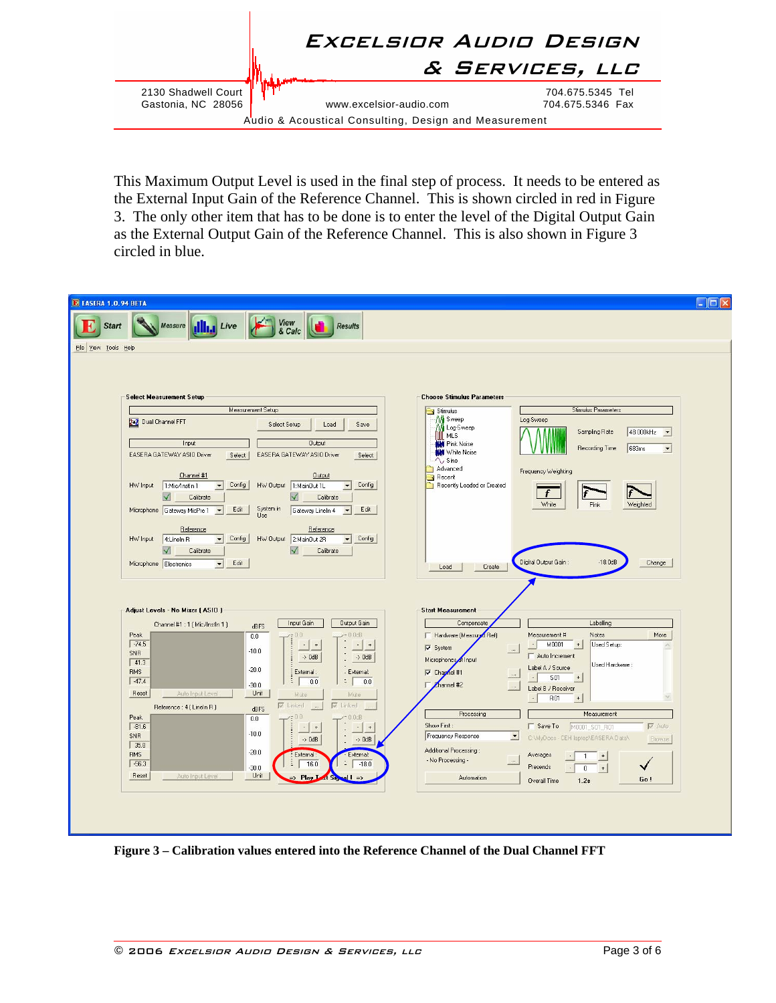

This Maximum Output Level is used in the final step of process. It needs to be entered as the External Input Gain of the Reference Channel. This is shown circled in red in [Figure](#page-2-0)  [3](#page-2-0). The only other item that has to be done is to enter the level of the Digital Output Gain as the External Output Gain of the Reference Channel. This is also shown in [Figure 3](#page-2-0) circled in blue.

| <b>Select Measurement Setup</b>                               |                                                                                        | <b>Choose Stimulus Parameters</b>                                  |                                                                                |
|---------------------------------------------------------------|----------------------------------------------------------------------------------------|--------------------------------------------------------------------|--------------------------------------------------------------------------------|
| Measurement Setup                                             |                                                                                        | Stimulus                                                           | <b>Stimulus Parameters</b>                                                     |
| 2+2 Dual Channel FFT<br>Select Setup<br>Load<br>Save          |                                                                                        | M Sweep<br>Log-Sweep<br>Log-Sweep                                  |                                                                                |
| Input                                                         | <b>Output</b>                                                                          | <b>MLS</b><br><b>NH</b> Pink Noise                                 | 48.000kHz -<br>Sampling Rate                                                   |
| EASERA GATEWAY ASIO Driver<br>Select                          | EASERA GATEWAY ASIO Driver<br>Select                                                   | <b>Will White Noise</b>                                            | Recording Time<br>683ms<br>$\vert$                                             |
|                                                               |                                                                                        | $\wedge$ , Sine<br>Advanced                                        | Frequency Weighting                                                            |
| Channel #1<br>Config<br>HW Input<br>1:Mic/Instln 1<br>$\vert$ | <b>Output</b><br>Config<br>HW Output 1:MainOut 1L<br>$\overline{\phantom{a}}$          | Recent<br>Recently Loaded or Created                               |                                                                                |
| Calibrate                                                     | Calibrate                                                                              |                                                                    | f                                                                              |
| Edit.<br>Microphone Gateway MicPre 1<br>$\vert \cdot \vert$   | System in<br>Use<br>Edit<br>Gateway Lineln 4<br>$\overline{\phantom{a}}$               |                                                                    | White<br>Weighted<br>Pink                                                      |
| Reference                                                     | Reference                                                                              |                                                                    |                                                                                |
| HW Input<br>$\vert$<br>Config<br>4: Lineln R                  | HW Output 2:MainOut 2R<br>Config<br>$\overline{\phantom{a}}$                           |                                                                    |                                                                                |
| $\sqrt{}$<br>Calibrate                                        | V<br>Calibrate                                                                         |                                                                    |                                                                                |
| Edit<br>Microphone Electronics<br>$\vert \cdot \vert$         |                                                                                        | Load<br>Create                                                     | Digital Output Gain:<br>$-18.0dB$<br>Change                                    |
|                                                               |                                                                                        |                                                                    |                                                                                |
|                                                               |                                                                                        |                                                                    |                                                                                |
| Adjust Levels - No Mixer [ ASIO ]                             |                                                                                        | <b>Start Measurement</b>                                           |                                                                                |
| Channel #1: 1 [Mic/Instln 1]                                  | Input Gain<br>Output Gain<br>dBFS                                                      | Compensate                                                         | Labelling                                                                      |
| Peak<br>$-74.5$                                               | 0.0dB<br>0.0<br>$\mathcal{L}_{\mathcal{C}}$<br>$^{\mathrm{+}}$<br>$\ddot{\phantom{1}}$ | Hardware (Measured Ref)                                            | Measurement #<br><b>Notes</b><br>More<br>Used Setup:<br>M0001<br>$+$<br>$\sim$ |
| SNR                                                           | $-10.0$<br>$\rightarrow$ 0dB<br>$\rightarrow$ 0dB                                      | $\overline{\smash{\vee}}$ System<br>$\sim$<br>Microphones of Input | Auto Increment                                                                 |
| $\sqrt{41.3}$                                                 | $-20.0$<br>External:<br>- External:                                                    | $\nabla$ Chapnel #1                                                | Used Hardware:<br>Label A / Source                                             |
|                                                               | $\ddot{\Xi}$<br>$\mathbb{I}$<br>0.0<br>0.0<br>$-30.0$                                  | Channel #2                                                         | <b>SO1</b><br>$\,$ + $\,$                                                      |
| <b>RMS</b><br>$-47.4$                                         |                                                                                        |                                                                    | Label B / Receiver<br>R01<br>$\,^+$                                            |
| Reset<br>Auto Input Level                                     | Unit<br>Mute<br>Mute                                                                   | $\cdot$                                                            |                                                                                |
| Reference: 4 (Lineln R)                                       | $\nabla$ Linked<br>$\nabla$ Linked<br>dBFS                                             |                                                                    |                                                                                |
| Peak<br>$-81.6$                                               | $0.0$ dB<br>0.0                                                                        | Processing<br>Show First:                                          | Measurement<br>$\nabla$ Auto<br>Save To                                        |
| <b>SNR</b>                                                    | mm<br>$\cdot$   +<br>$\cdot$<br>$+$<br>$\ddot{\phantom{a}}$<br>$-10.0$                 | Frequency Response<br>×                                            | M0001_S01_R01<br>C:\MyDocs - CEH laptop\EASERA Data\<br>Browse                 |
| 35.8                                                          | $\rightarrow$ 0dB<br>$\rightarrow$ 0dB<br>ä,<br>$-20.0$                                | Additional Processing:                                             |                                                                                |
| <b>RMS</b><br>$-56.3$                                         | External:<br>External:<br>$\frac{1}{2}$<br>$= 18.0$<br>16.0<br>$-30.0$                 | - No Processing -<br>$\sim$                                        | Averages<br>1<br>$+$<br>Presends<br>$+$<br>0                                   |

<span id="page-2-0"></span>**Figure 3 – Calibration values entered into the Reference Channel of the Dual Channel FFT**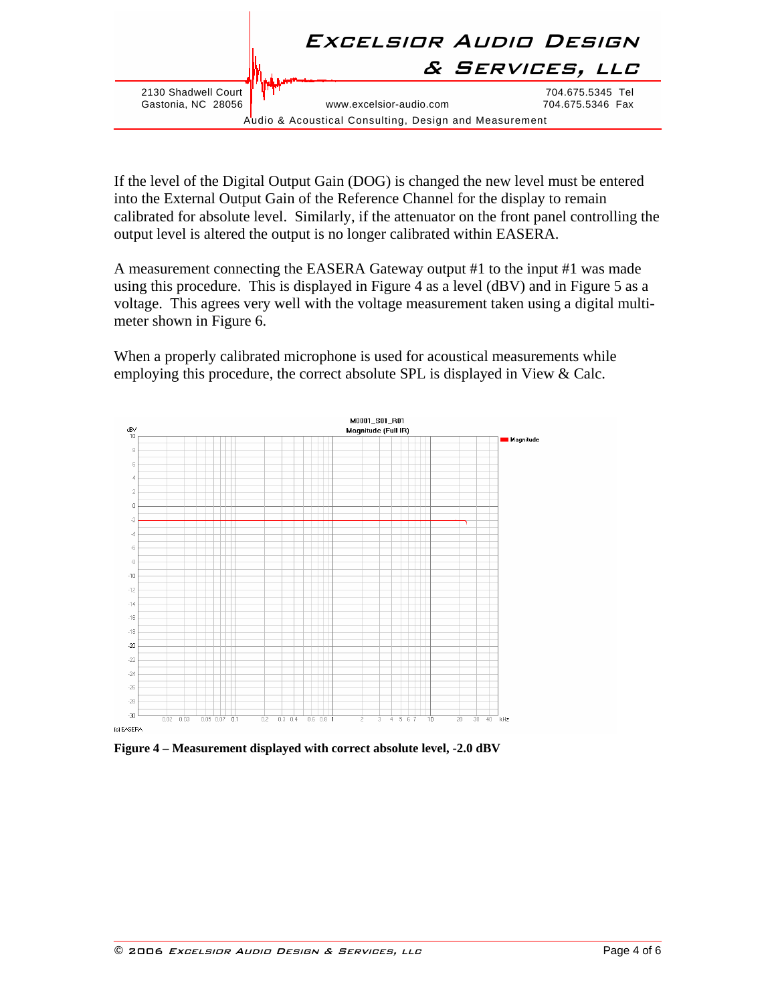

If the level of the Digital Output Gain (DOG) is changed the new level must be entered into the External Output Gain of the Reference Channel for the display to remain calibrated for absolute level. Similarly, if the attenuator on the front panel controlling the output level is altered the output is no longer calibrated within EASERA.

A measurement connecting the EASERA Gateway output #1 to the input #1 was made using this procedure. This is displayed in [Figure 4](#page-3-0) as a level (dBV) and in [Figure 5](#page-4-0) as a voltage. This agrees very well with the voltage measurement taken using a digital multimeter shown in [Figure 6](#page-4-1).

When a properly calibrated microphone is used for acoustical measurements while employing this procedure, the correct absolute SPL is displayed in View & Calc.



<span id="page-3-0"></span>**Figure 4 – Measurement displayed with correct absolute level, -2.0 dBV**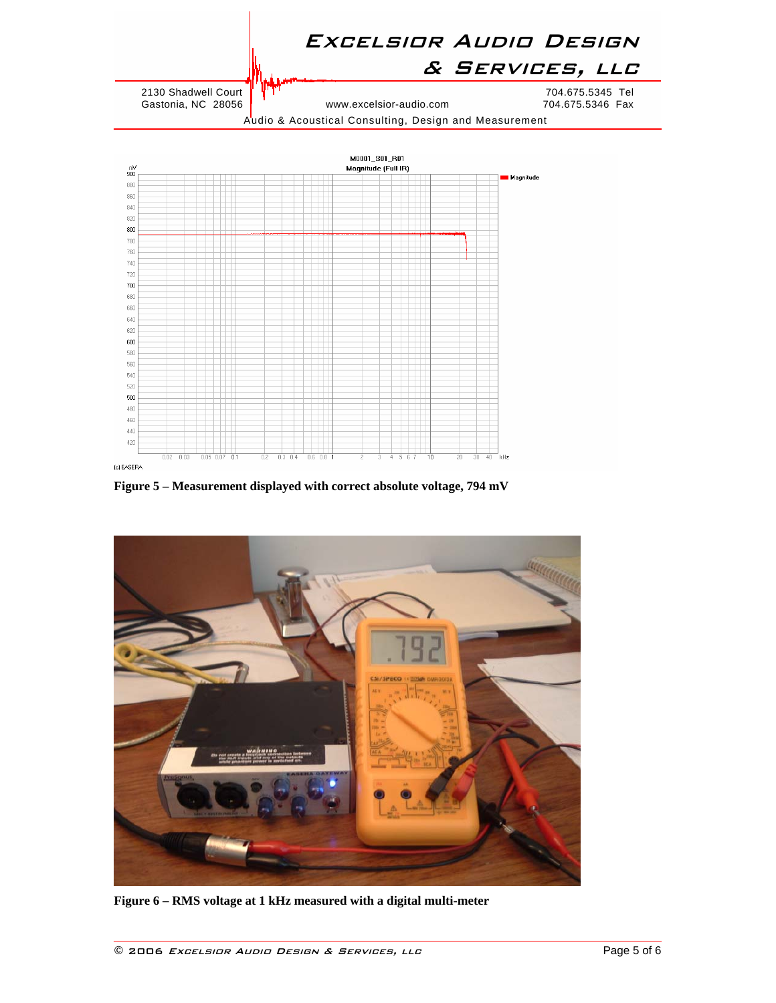

Audio & Acoustical Consulting, Design and Measurement



**Figure 5 – Measurement displayed with correct absolute voltage, 794 mV** 

<span id="page-4-1"></span><span id="page-4-0"></span>

**Figure 6 – RMS voltage at 1 kHz measured with a digital multi-meter**